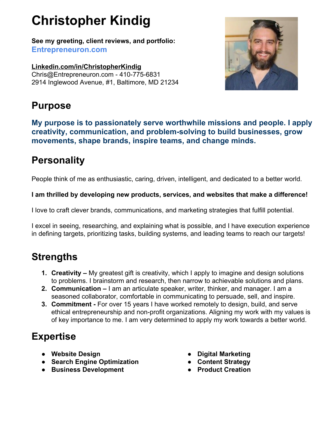# **Christopher Kindig**

**See my greeting, client reviews, and portfolio: [Entrepreneuron.com](http://www.entrepreneuron.com/)**

**[Linkedin.com/in/ChristopherKindig](http://www.linkedin.com/in/christopherkindig)** [Chris@Entrepreneuron.com](mailto:Chris@Entrepreneuron.com) - 410-775-6831 2914 Inglewood Avenue, #1, Baltimore, MD 21234



### **Purpose**

**My purpose is to passionately serve worthwhile missions and people. I apply creativity, communication, and problem-solving to build businesses, grow movements, shape brands, inspire teams, and change minds.**

# **Personality**

People think of me as enthusiastic, caring, driven, intelligent, and dedicated to a better world.

#### **I am thrilled by developing new products, services, and websites that make a difference!**

I love to craft clever brands, communications, and marketing strategies that fulfill potential.

I excel in seeing, researching, and explaining what is possible, and I have execution experience in defining targets, prioritizing tasks, building systems, and leading teams to reach our targets!

### **Strengths**

- **1. Creativity** My greatest gift is creativity, which I apply to imagine and design solutions to problems. I brainstorm and research, then narrow to achievable solutions and plans.
- **2. Communication** I am an articulate speaker, writer, thinker, and manager. I am a seasoned collaborator, comfortable in communicating to persuade, sell, and inspire.
- **3. Commitment** For over 15 years I have worked remotely to design, build, and serve ethical entrepreneurship and non-profit organizations. Aligning my work with my values is of key importance to me. I am very determined to apply my work towards a better world.

# **Expertise**

- **● Website Design**
- **● Search Engine Optimization**
- **● Business Development**
- **● Digital Marketing**
- **● Content Strategy**
- **● Product Creation**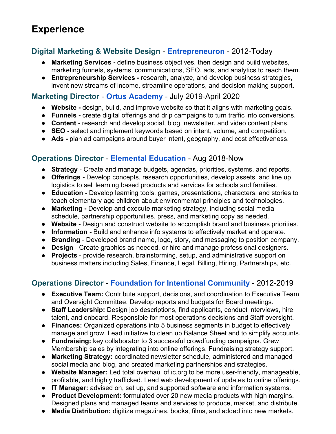# **Experience**

#### **Digital Marketing & Website Design** - **[Entrepreneuron](http://www.entrepreneuron.com/)** - 2012-Today

- **Marketing Services** define business objectives, then design and build websites, marketing funnels, systems, communications, SEO, ads, and analytics to reach them.
- **Entrepreneurship Services** research, analyze, and develop business strategies, invent new streams of income, streamline operations, and decision making support.

#### **Marketing Director** - **Ortus [Academy](http://www.ortusacademy.com/)** - July 2019-April 2020

- **Website** design, build, and improve website so that it aligns with marketing goals.
- **Funnels** create digital offerings and drip campaigns to turn traffic into conversions.
- **Content** research and develop social, blog, newsletter, and video content plans.
- **SEO** select and implement keywords based on intent, volume, and competition.
- **Ads -** plan ad campaigns around buyer intent, geography, and cost effectiveness.

#### **Operations Director** - **Elemental [Education](http://www.elemental-education.com/)** - Aug 2018-Now

- **Strategy** Create and manage budgets, agendas, priorities, systems, and reports.
- **Offerings -** Develop concepts, research opportunities, develop assets, and line up logistics to sell learning based products and services for schools and families.
- **Education** Develop learning tools, games, presentations, characters, and stories to teach elementary age children about environmental principles and technologies.
- Marketing Develop and execute marketing strategy, including social media schedule, partnership opportunities, press, and marketing copy as needed.
- **Website** Design and construct website to accomplish brand and business priorities.
- **Information** Build and enhance info systems to effectively market and operate.
- **Branding** Developed brand name, logo, story, and messaging to position company.
- **Design**  Create graphics as needed, or hire and manage professional designers.
- **Projects** provide research, brainstorming, setup, and administrative support on business matters including Sales, Finance, Legal, Billing, Hiring, Partnerships, etc.

#### **Operations Director** - **Foundation for Intentional [Community](http://www.ic.org/)** - 2012-2019

- **Executive Team:** Contribute support, decisions, and coordination to Executive Team and Oversight Committee. Develop reports and budgets for Board meetings.
- **Staff Leadership:** Design job descriptions, find applicants, conduct interviews, hire talent, and onboard. Responsible for most operations decisions and Staff oversight.
- **Finances:** Organized operations into 5 business segments in budget to effectively manage and grow. Lead initiative to clean up Balance Sheet and to simplify accounts.
- **Fundraising:** key collaborator to 3 successful crowdfunding campaigns. Grew Membership sales by integrating into online offerings. Fundraising strategy support.
- **Marketing Strategy:** coordinated newsletter schedule, administered and managed social media and blog, and created marketing partnerships and strategies.
- **Website Manager:** Led total overhaul of ic.org to be more user-friendly, manageable, profitable, and highly trafficked. Lead web development of updates to online offerings.
- **IT Manager:** advised on, set up, and supported software and information systems.
- **● Product Development:** formulated over 20 new media products with high margins. Designed plans and managed teams and services to produce, market, and distribute.
- **Media Distribution:** digitize magazines, books, films, and added into new markets.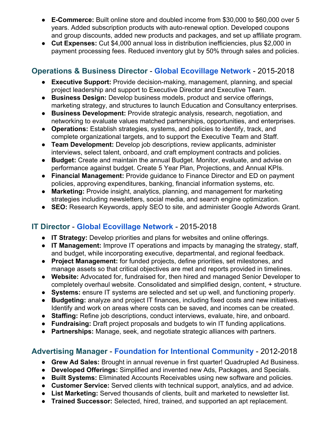- **● E-Commerce:** Built online store and doubled income from \$30,000 to \$60,000 over 5 years. Added subscription products with auto-renewal option. Developed coupons and group discounts, added new products and packages, and set up affiliate program.
- **Cut Expenses:** Cut \$4,000 annual loss in distribution inefficiencies, plus \$2,000 in payment processing fees. Reduced inventory glut by 50% through sales and policies.

#### **Operations & Business Director** - **Global [Ecovillage](http://www.ecovillage.org/) Network** - 2015-2018

- **Executive Support:** Provide decision-making, management, planning, and special project leadership and support to Executive Director and Executive Team.
- **Business Design:** Develop business models, product and service offerings, marketing strategy, and structures to launch Education and Consultancy enterprises.
- **Business Development:** Provide strategic analysis, research, negotiation, and networking to evaluate values matched partnerships, opportunities, and enterprises.
- **Operations:** Establish strategies, systems, and policies to identify, track, and complete organizational targets, and to support the Executive Team and Staff.
- **● Team Development:** Develop job descriptions, review applicants, administer interviews, select talent, onboard, and craft employment contracts and policies.
- **Budget:** Create and maintain the annual Budget. Monitor, evaluate, and advise on performance against budget. Create 5 Year Plan, Projections, and Annual KPIs.
- **Financial Management:** Provide guidance to Finance Director and ED on payment policies, approving expenditures, banking, financial information systems, etc.
- **Marketing:** Provide insight, analytics, planning, and management for marketing strategies including newsletters, social media, and search engine optimization.
- **SEO:** Research Keywords, apply SEO to site, and administer Google Adwords Grant.

#### **IT Director** - **Global [Ecovillage](http://www.ecovillage.org/) Network** - 2015-2018

- **IT Strategy:** Develop priorities and plans for websites and online offerings.
- **IT Management:** Improve IT operations and impacts by managing the strategy, staff, and budget, while incorporating executive, departmental, and regional feedback.
- **Project Management:** for funded projects, define priorities, set milestones, and manage assets so that critical objectives are met and reports provided in timelines.
- **Website:** Advocated for, fundraised for, then hired and managed Senior Developer to completely overhaul website. Consolidated and simplified design, content, + structure.
- **Systems:** ensure IT systems are selected and set up well, and functioning properly.
- **Budgeting:** analyze and project IT finances, including fixed costs and new initiatives. Identify and work on areas where costs can be saved, and incomes can be created.
- **Staffing:** Refine job descriptions, conduct interviews, evaluate, hire, and onboard.
- **Fundraising:** Draft project proposals and budgets to win IT funding applications.
- **● Partnerships:** Manage, seek, and negotiate strategic alliances with partners.

#### **Advertising Manager** - **Foundation for Intentional [Community](http://www.ic.org/)** - 2012-2018

- **Grew Ad Sales:** Brought in annual revenue in first quarter! Quadrupled Ad Business.
- **Developed Offerings:** Simplified and invented new Ads, Packages, and Specials.
- **● Built Systems:** Eliminated Accounts Receivables using new software and policies.
- **Customer Service:** Served clients with technical support, analytics, and ad advice.
- **List Marketing:** Served thousands of clients, built and marketed to newsletter list.
- **● Trained Successor:** Selected, hired, trained, and supported an apt replacement.